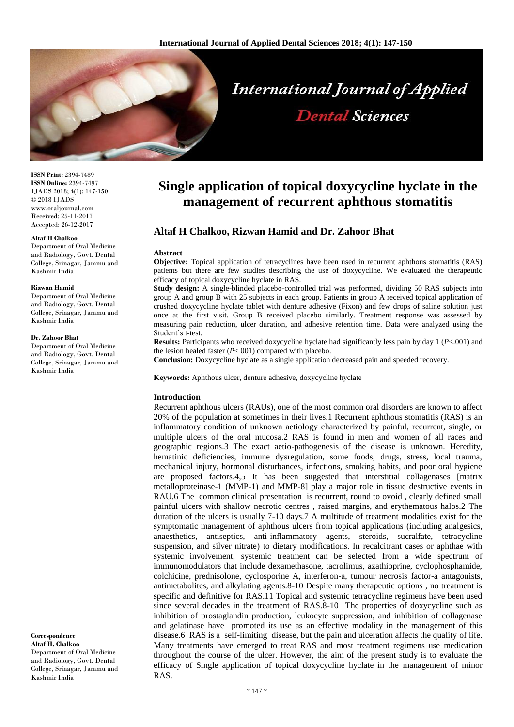

**ISSN Print:** 2394-7489 **ISSN Online:** 2394-7497 IJADS 2018; 4(1): 147-150 © 2018 IJADS www.oraljournal.com Received: 25-11-2017 Accepted: 26-12-2017

#### **Altaf H Chalkoo**

Department of Oral Medicine and Radiology, Govt. Dental College, Srinagar, Jammu and Kashmir India

#### **Rizwan Hamid**

Department of Oral Medicine and Radiology, Govt. Dental College, Srinagar, Jammu and Kashmir India

#### **Dr. Zahoor Bhat**

Department of Oral Medicine and Radiology, Govt. Dental College, Srinagar, Jammu and Kashmir India

**Correspondence Altaf H. Chalkoo**  Department of Oral Medicine and Radiology, Govt. Dental College, Srinagar, Jammu and Kashmir India

# **Single application of topical doxycycline hyclate in the management of recurrent aphthous stomatitis**

## **Altaf H Chalkoo, Rizwan Hamid and Dr. Zahoor Bhat**

#### **Abstract**

**Objective:** Topical application of tetracyclines have been used in recurrent aphthous stomatitis (RAS) patients but there are few studies describing the use of doxycycline. We evaluated the therapeutic efficacy of topical doxycycline hyclate in RAS.

**Study design:** A single-blinded placebo-controlled trial was performed, dividing 50 RAS subjects into group A and group B with 25 subjects in each group. Patients in group A received topical application of crushed doxycycline hyclate tablet with denture adhesive (Fixon) and few drops of saline solution just once at the first visit. Group B received placebo similarly. Treatment response was assessed by measuring pain reduction, ulcer duration, and adhesive retention time. Data were analyzed using the Student's t-test.

**Results:** Participants who received doxycycline hyclate had significantly less pain by day 1 (*P*<.001) and the lesion healed faster (*P*< 001) compared with placebo.

**Conclusion:** Doxycycline hyclate as a single application decreased pain and speeded recovery.

**Keywords:** Aphthous ulcer, denture adhesive, doxycycline hyclate

#### **Introduction**

Recurrent aphthous ulcers (RAUs), one of the most common oral disorders are known to affect 20% of the population at sometimes in their lives.1 Recurrent aphthous stomatitis (RAS) is an inflammatory condition of unknown aetiology characterized by painful, recurrent, single, or multiple ulcers of the oral mucosa.2 RAS is found in men and women of all races and geographic regions.3 The exact aetio-pathogenesis of the disease is unknown. Heredity, hematinic deficiencies, immune dysregulation, some foods, drugs, stress, local trauma, mechanical injury, hormonal disturbances, infections, smoking habits, and poor oral hygiene are proposed factors.4,5 It has been suggested that interstitial collagenases [matrix metalloproteinase-1 (MMP-1) and MMP-8] play a major role in tissue destructive events in RAU.6 The common clinical presentation is recurrent, round to ovoid , clearly defined small painful ulcers with shallow necrotic centres , raised margins, and erythematous halos.2 The duration of the ulcers is usually 7-10 days.7 A multitude of treatment modalities exist for the symptomatic management of aphthous ulcers from topical applications (including analgesics, anaesthetics, antiseptics, anti-inflammatory agents, steroids, sucralfate, tetracycline suspension, and silver nitrate) to dietary modifications. In recalcitrant cases or aphthae with systemic involvement, systemic treatment can be selected from a wide spectrum of immunomodulators that include dexamethasone, tacrolimus, azathioprine, cyclophosphamide, colchicine, prednisolone, cyclosporine A, interferon-a, tumour necrosis factor-a antagonists, antimetabolites, and alkylating agents.8-10 Despite many therapeutic options , no treatment is specific and definitive for RAS.11 Topical and systemic tetracycline regimens have been used since several decades in the treatment of RAS.8-10 The properties of doxycycline such as inhibition of prostaglandin production, leukocyte suppression, and inhibition of collagenase and gelatinase have promoted its use as an effective modality in the management of this disease.6 RAS is a self-limiting disease, but the pain and ulceration affects the quality of life. Many treatments have emerged to treat RAS and most treatment regimens use medication throughout the course of the ulcer. However, the aim of the present study is to evaluate the efficacy of Single application of topical doxycycline hyclate in the management of minor RAS.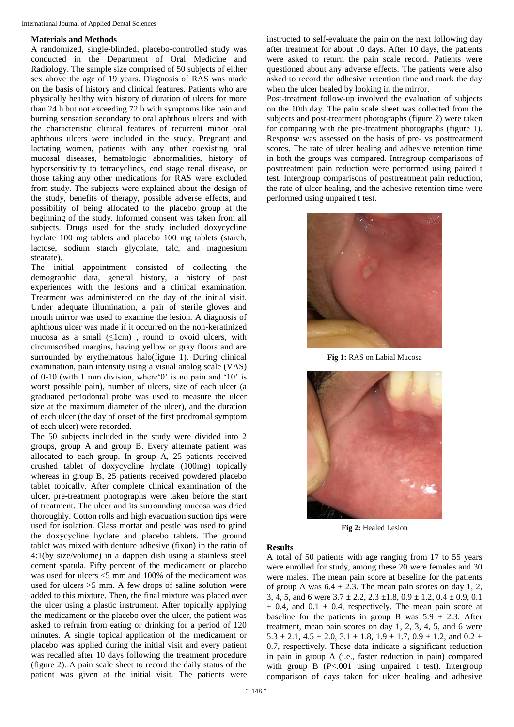### **Materials and Methods**

A randomized, single-blinded, placebo-controlled study was conducted in the Department of Oral Medicine and Radiology. The sample size comprised of 50 subjects of either sex above the age of 19 years. Diagnosis of RAS was made on the basis of history and clinical features. Patients who are physically healthy with history of duration of ulcers for more than 24 h but not exceeding 72 h with symptoms like pain and burning sensation secondary to oral aphthous ulcers and with the characteristic clinical features of recurrent minor oral aphthous ulcers were included in the study. Pregnant and lactating women, patients with any other coexisting oral mucosal diseases, hematologic abnormalities, history of hypersensitivity to tetracyclines, end stage renal disease, or those taking any other medications for RAS were excluded from study. The subjects were explained about the design of the study, benefits of therapy, possible adverse effects, and possibility of being allocated to the placebo group at the beginning of the study. Informed consent was taken from all subjects. Drugs used for the study included doxycycline hyclate 100 mg tablets and placebo 100 mg tablets (starch, lactose, sodium starch glycolate, talc, and magnesium stearate).

The initial appointment consisted of collecting the demographic data, general history, a history of past experiences with the lesions and a clinical examination. Treatment was administered on the day of the initial visit. Under adequate illumination, a pair of sterile gloves and mouth mirror was used to examine the lesion. A diagnosis of aphthous ulcer was made if it occurred on the non-keratinized mucosa as a small  $(\leq 1$ cm), round to ovoid ulcers, with circumscribed margins, having yellow or gray floors and are surrounded by erythematous halo(figure 1). During clinical examination, pain intensity using a visual analog scale (VAS) of 0-10 (with 1 mm division, where'0' is no pain and '10' is worst possible pain), number of ulcers, size of each ulcer (a graduated periodontal probe was used to measure the ulcer size at the maximum diameter of the ulcer), and the duration of each ulcer (the day of onset of the first prodromal symptom of each ulcer) were recorded.

The 50 subjects included in the study were divided into 2 groups, group A and group B. Every alternate patient was allocated to each group. In group A, 25 patients received crushed tablet of doxycycline hyclate (100mg) topically whereas in group B, 25 patients received powdered placebo tablet topically. After complete clinical examination of the ulcer, pre-treatment photographs were taken before the start of treatment. The ulcer and its surrounding mucosa was dried thoroughly. Cotton rolls and high evacuation suction tips were used for isolation. Glass mortar and pestle was used to grind the doxycycline hyclate and placebo tablets. The ground tablet was mixed with denture adhesive (fixon) in the ratio of 4:1(by size/volume) in a dappen dish using a stainless steel cement spatula. Fifty percent of the medicament or placebo was used for ulcers  $\leq$ 5 mm and 100% of the medicament was used for ulcers >5 mm. A few drops of saline solution were added to this mixture. Then, the final mixture was placed over the ulcer using a plastic instrument. After topically applying the medicament or the placebo over the ulcer, the patient was asked to refrain from eating or drinking for a period of 120 minutes. A single topical application of the medicament or placebo was applied during the initial visit and every patient was recalled after 10 days following the treatment procedure (figure 2). A pain scale sheet to record the daily status of the patient was given at the initial visit. The patients were

instructed to self-evaluate the pain on the next following day after treatment for about 10 days. After 10 days, the patients were asked to return the pain scale record. Patients were questioned about any adverse effects. The patients were also asked to record the adhesive retention time and mark the day when the ulcer healed by looking in the mirror.

Post-treatment follow-up involved the evaluation of subjects on the 10th day. The pain scale sheet was collected from the subjects and post-treatment photographs (figure 2) were taken for comparing with the pre-treatment photographs (figure 1). Response was assessed on the basis of pre- vs posttreatment scores. The rate of ulcer healing and adhesive retention time in both the groups was compared. Intragroup comparisons of posttreatment pain reduction were performed using paired t test. Intergroup comparisons of posttreatment pain reduction, the rate of ulcer healing, and the adhesive retention time were performed using unpaired t test.



**Fig 1:** RAS on Labial Mucosa



**Fig 2:** Healed Lesion

#### **Results**

A total of 50 patients with age ranging from 17 to 55 years were enrolled for study, among these 20 were females and 30 were males. The mean pain score at baseline for the patients of group A was  $6.4 \pm 2.3$ . The mean pain scores on day 1, 2, 3, 4, 5, and 6 were  $3.7 \pm 2.2$ ,  $2.3 \pm 1.8$ ,  $0.9 \pm 1.2$ ,  $0.4 \pm 0.9$ ,  $0.1$  $\pm$  0.4, and 0.1  $\pm$  0.4, respectively. The mean pain score at baseline for the patients in group B was  $5.9 \pm 2.3$ . After treatment, mean pain scores on day 1, 2, 3, 4, 5, and 6 were  $5.3 \pm 2.1$ ,  $4.5 \pm 2.0$ ,  $3.1 \pm 1.8$ ,  $1.9 \pm 1.7$ ,  $0.9 \pm 1.2$ , and  $0.2 \pm 1.2$ 0.7, respectively. These data indicate a significant reduction in pain in group A (i.e., faster reduction in pain) compared with group B ( $P < .001$  using unpaired t test). Intergroup comparison of days taken for ulcer healing and adhesive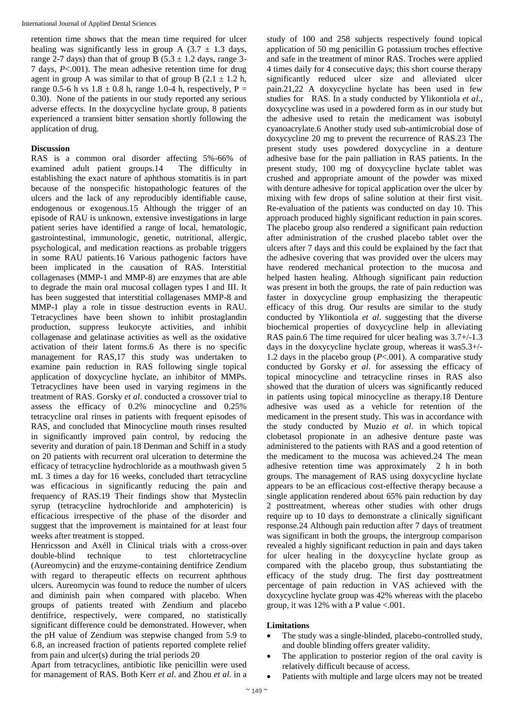retention time shows that the mean time required for ulcer healing was significantly less in group A  $(3.7 \pm 1.3 \text{ days})$ , range 2-7 days) than that of group B ( $5.3 \pm 1.2$  days, range 3-7 days, *P*<.001). The mean adhesive retention time for drug agent in group A was similar to that of group B  $(2.1 \pm 1.2 \text{ h})$ , range 0.5-6 h vs  $1.8 \pm 0.8$  h, range 1.0-4 h, respectively, P = 0.30). None of the patients in our study reported any serious adverse effects. In the doxycycline hyclate group, 8 patients experienced a transient bitter sensation shortly following the application of drug.

## **Discussion**

RAS is a common oral disorder affecting 5%-66% of examined adult patient groups.14 The difficulty in establishing the exact nature of aphthous stomatitis is in part because of the nonspecific histopathologic features of the ulcers and the lack of any reproducibly identifiable cause, endogenous or exogenous.15 Although the trigger of an episode of RAU is unknown, extensive investigations in large patient series have identified a range of local, hematologic, gastrointestinal, immunologic, genetic, nutritional, allergic, psychological, and medication reactions as probable triggers in some RAU patients.16 Various pathogenic factors have been implicated in the causation of RAS. Interstitial collagenases (MMP-1 and MMP-8) are enzymes that are able to degrade the main oral mucosal collagen types I and III. It has been suggested that interstitial collagenases MMP-8 and MMP-1 play a role in tissue destruction events in RAU. Tetracyclines have been shown to inhibit prostaglandin production, suppress leukocyte activities, and inhibit collagenase and gelatinase activities as well as the oxidative activation of their latent forms.6 As there is no specific management for RAS,17 this study was undertaken to examine pain reduction in RAS following single topical application of doxycycline hyclate, an inhibitor of MMPs. Tetracyclines have been used in varying regimens in the treatment of RAS. Gorsky *et al*. conducted a crossover trial to assess the efficacy of 0.2% minocycline and 0.25% tetracycline oral rinses in patients with frequent episodes of RAS, and concluded that Minocycline mouth rinses resulted in significantly improved pain control, by reducing the severity and duration of pain.18 Denman and Schiff in a study on 20 patients with recurrent oral ulceration to determine the efficacy of tetracycline hydrochloride as a mouthwash given 5 mL 3 times a day for 16 weeks, concluded thart tetracycline was efficacious in significantly reducing the pain and frequency of RAS.19 Their findings show that Mysteclin syrup (tetracycline hydrochloride and amphotericin) is efficacious irrespective of the phase of the disorder and suggest that the improvement is maintained for at least four weeks after treatment is stopped.

Henricsson and Axéll in Clinical trials with a cross-over double-blind technique to test chlortetracycline (Aureomycin) and the enzyme-containing dentifrice Zendium with regard to therapeutic effects on recurrent aphthous ulcers. Aureomycin was found to reduce the number of ulcers and diminish pain when compared with placebo. When groups of patients treated with Zendium and placebo dentifrice, respectively, were compared, no statistically significant difference could be demonstrated. However, when the pH value of Zendium was stepwise changed from 5.9 to 6.8, an increased fraction of patients reported complete relief from pain and ulcer(s) during the trial periods 20

Apart from tetracyclines, antibiotic like penicillin were used for management of RAS. Both Kerr *et al*. and Zhou *et al*. in a study of 100 and 258 subjects respectively found topical application of 50 mg penicillin G potassium troches effective and safe in the treatment of minor RAS. Troches were applied 4 times daily for 4 consecutive days; this short course therapy significantly reduced ulcer size and alleviated ulcer pain.21,22 A doxycycline hyclate has been used in few studies for RAS. In a study conducted by Ylikontiola *et al*., doxycycline was used in a powdered form as in our study but the adhesive used to retain the medicament was isobutyl cyanoacrylate.6 Another study used sub-antimicrobial dose of doxycycline 20 mg to prevent the recurrence of RAS.23 The present study uses powdered doxycycline in a denture adhesive base for the pain palliation in RAS patients. In the present study, 100 mg of doxycycline hyclate tablet was crushed and appropriate amount of the powder was mixed with denture adhesive for topical application over the ulcer by mixing with few drops of saline solution at their first visit. Re-evaluation of the patients was conducted on day 10. This approach produced highly significant reduction in pain scores. The placebo group also rendered a significant pain reduction after administration of the crushed placebo tablet over the ulcers after 7 days and this could be explained by the fact that the adhesive covering that was provided over the ulcers may have rendered mechanical protection to the mucosa and helped hasten healing. Although significant pain reduction was present in both the groups, the rate of pain reduction was faster in doxycycline group emphasizing the therapeutic efficacy of this drug. Our results are similar to the study conducted by Ylikontiola *et al*. suggesting that the diverse biochemical properties of doxycycline help in alleviating RAS pain.6 The time required for ulcer healing was 3.7+/-1.3 days in the doxycycline hyclate group, whereas it was5.3+/- 1.2 days in the placebo group (*P*<.001). A comparative study conducted by Gorsky *et al*. for assessing the efficacy of topical minocycline and tetracycline rinses in RAS also showed that the duration of ulcers was significantly reduced in patients using topical minocycline as therapy.18 Denture adhesive was used as a vehicle for retention of the medicament in the present study. This was in accordance with the study conducted by Muzio *et al*. in which topical clobetasol propionate in an adhesive denture paste was administered to the patients with RAS and a good retention of the medicament to the mucosa was achieved.24 The mean adhesive retention time was approximately 2 h in both groups. The management of RAS using doxycycline hyclate appears to be an efficacious cost-effective therapy because a single application rendered about 65% pain reduction by day 2 posttreatment, whereas other studies with other drugs require up to 10 days to demonstrate a clinically significant response.24 Although pain reduction after 7 days of treatment was significant in both the groups, the intergroup comparison revealed a highly significant reduction in pain and days taken for ulcer healing in the doxycycline hyclate group as compared with the placebo group, thus substantiating the efficacy of the study drug. The first day posttreatment percentage of pain reduction in VAS achieved with the doxycycline hyclate group was 42% whereas with the placebo group, it was 12% with a P value <.001.

## **Limitations**

- The study was a single-blinded, placebo-controlled study, and double blinding offers greater validity.
- The application to posterior region of the oral cavity is relatively difficult because of access.
- Patients with multiple and large ulcers may not be treated